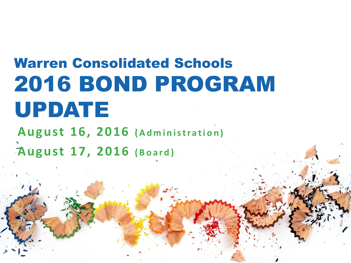# Warren Consolidated Schools 2016 BOND PROGRAM UPDATE

**August 16, 2016 (Administration) August 17, 2016 (Board)**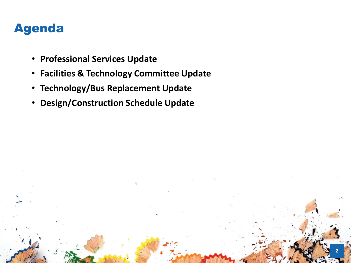## Agenda

- **Professional Services Update**
- **Facilities & Technology Committee Update**

- **Technology/Bus Replacement Update**
- **Design/Construction Schedule Update**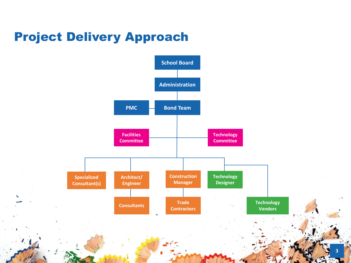## Project Delivery Approach

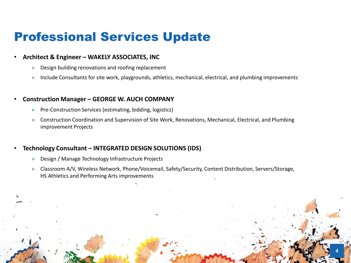### Professional Services Update

#### • **Architect & Engineer – WAKELY ASSOCIATES, INC**

- » Design building renovations and roofing replacement
- » Include Consultants for site work, playgrounds, athletics, mechanical, electrical, and plumbing improvements

#### • **Construction Manager – GEORGE W. AUCH COMPANY**

- » Pre-Construction Services (estimating, bidding, logistics)
- » Construction Coordination and Supervision of Site Work, Renovations, Mechanical, Electrical, and Plumbing improvement Projects

### • **Technology Consultant – INTEGRATED DESIGN SOLUTIONS (IDS)**

- » Design / Manage Technology Infrastructure Projects
- » Classroom A/V, Wireless Network, Phone/Voicemail, Safety/Security, Content Distribution, Servers/Storage, HS Athletics and Performing Arts improvements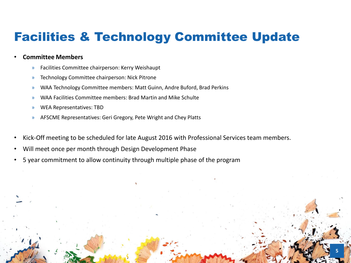## Facilities & Technology Committee Update

#### • **Committee Members**

- » Facilities Committee chairperson: Kerry Weishaupt
- » Technology Committee chairperson: Nick Pitrone
- » WAA Technology Committee members: Matt Guinn, Andre Buford, Brad Perkins
- » WAA Facilities Committee members: Brad Martin and Mike Schulte
- » WEA Representatives: TBD
- » AFSCME Representatives: Geri Gregory, Pete Wright and Chey Platts
- Kick-Off meeting to be scheduled for late August 2016 with Professional Services team members.

- Will meet once per month through Design Development Phase
- 5 year commitment to allow continuity through multiple phase of the program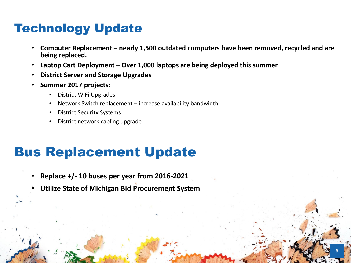# Technology Update

- **Computer Replacement – nearly 1,500 outdated computers have been removed, recycled and are being replaced.**
- **Laptop Cart Deployment – Over 1,000 laptops are being deployed this summer**
- **District Server and Storage Upgrades**
- **Summer 2017 projects:** 
	- District WiFi Upgrades
	- Network Switch replacement increase availability bandwidth
	- District Security Systems
	- District network cabling upgrade

# Bus Replacement Update

- **Replace +/- 10 buses per year from 2016-2021**
- **Utilize State of Michigan Bid Procurement System**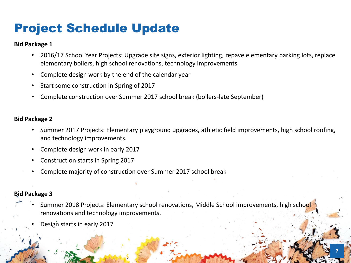# Project Schedule Update

### **Bid Package 1**

- 2016/17 School Year Projects: Upgrade site signs, exterior lighting, repave elementary parking lots, replace elementary boilers, high school renovations, technology improvements
- Complete design work by the end of the calendar year
- Start some construction in Spring of 2017
- Complete construction over Summer 2017 school break (boilers-late September)

### **Bid Package 2**

- Summer 2017 Projects: Elementary playground upgrades, athletic field improvements, high school roofing, and technology improvements.
- Complete design work in early 2017
- Construction starts in Spring 2017
- Complete majority of construction over Summer 2017 school break

### **Bid Package 3**

Summer 2018 Projects: Elementary school renovations, Middle School improvements, high school renovations and technology improvements.

**7**

Design starts in early 2017